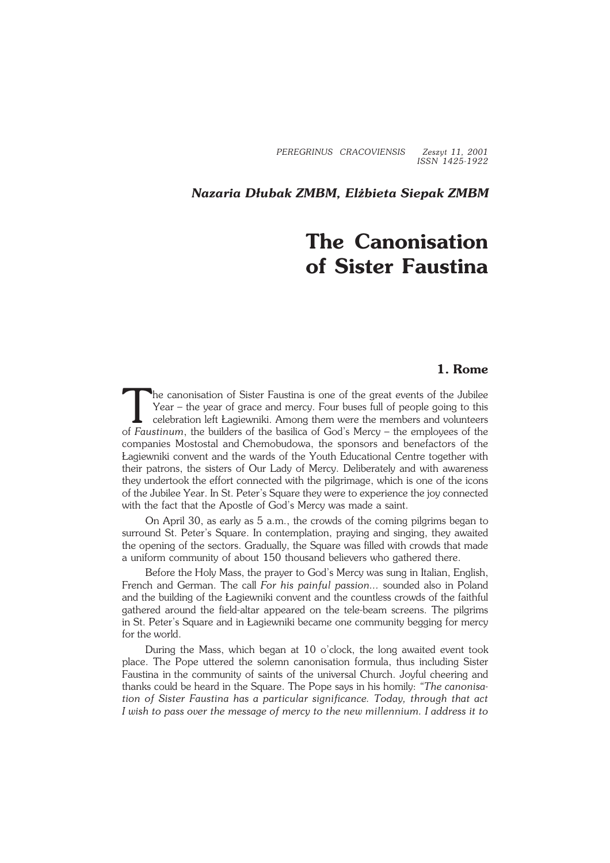*PEREGRINUS CRACOVIENSIS Zeszyt 11, 2001 ISSN 1425−1922*

*Nazaria Dłubak ZMBM, Elżbieta Siepak ZMBM*

## **The Canonisation of Sister Faustina**

## **1. Rome**

The canonisation of Sister Faustina is one of the great events of the Jubilee<br>Year – the year of grace and mercy. Four buses full of people going to this<br>celebration left Lagiewniki. Among them were the members and volunte he canonisation of Sister Faustina is one of the great events of the Jubilee Year – the year of grace and mercy. Four buses full of people going to this celebration left Łagiewniki. Among them were the members and volunteers companies Mostostal andChemobudowa, the sponsors and benefactors of the Łagiewniki convent and the wards of the Youth Educational Centre together with their patrons, the sisters of Our Lady of Mercy. Deliberately and with awareness they undertook the effort connected with the pilgrimage, which is one of the icons of the Jubilee Year. In St. Peter's Square they were to experience the joy connected with the fact that the Apostle of God's Mercy was made a saint.

On April 30, as early as 5 a.m., the crowds of the coming pilgrims began to surround St. Peter's Square. In contemplation, praying and singing, they awaited the opening of the sectors. Gradually, the Square was filled with crowds that made a uniform community of about 150 thousand believers who gathered there.

Before the Holy Mass, the prayer to God's Mercy was sung in Italian, English, French and German. The call *For his painful passion...* sounded also in Poland and the building of the Łagiewniki convent and the countless crowds of the faithful gathered around the field−altar appeared on the tele−beam screens. The pilgrims in St. Peter's Square and in Łagiewniki became one community begging for mercy for the world.

During the Mass, which began at 10 o'clock, the long awaited event took place. The Pope uttered the solemn canonisation formula, thus including Sister Faustina in the community of saints of the universal Church. Joyful cheering and thanks could be heard in the Square. The Pope says in his homily: *"The canonisa− tion of Sister Faustina has a particular significance. Today, through that act Iwish to pass over the message of mercy to the new millennium. I address it to*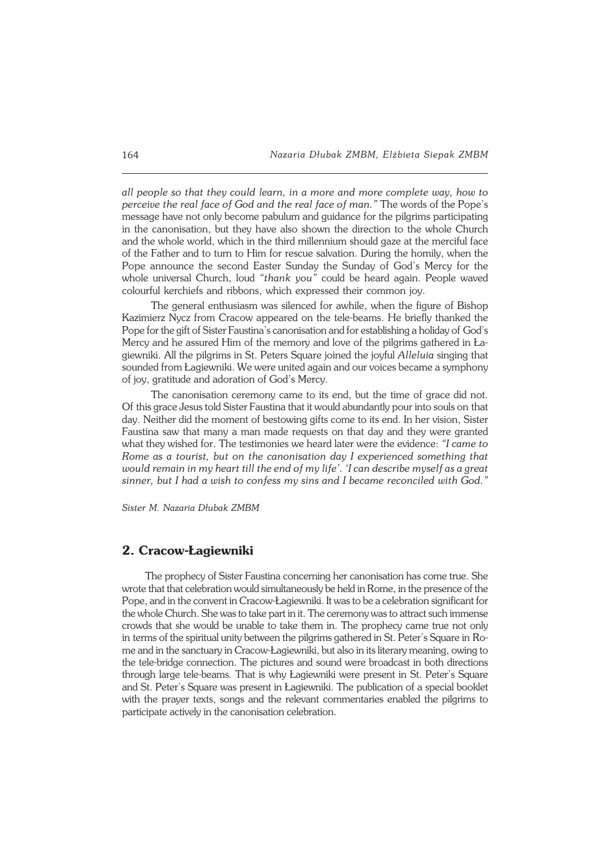*all people so that they could learn, in a more and more complete way, how to perceive the real face of God and the real face of man."* The words of the Pope's message have not only become pabulum and guidance for the pilgrims participating in the canonisation, but they have also shown the direction to the whole Church and the whole world, which in the third millennium should gaze at the merciful face of the Father and to turn to Him for rescue salvation. During the homily, when the Pope announce the second Easter Sunday the Sunday of God's Mercy for the whole universal Church, loud *"thank you"* could be heard again. People waved colourful kerchiefs and ribbons, which expressed their common joy.

The general enthusiasm was silenced for awhile, when the figure of Bishop Kazimierz Nycz from Cracow appeared on the tele−beams. He briefly thanked the Pope for the gift of Sister Faustina's canonisation and for establishing a holiday of God's Mercy and he assured Him of the memory and love of the pilgrims gathered in Ła− giewniki. All the pilgrims in St. Peters Square joined the joyful *Alleluia* singing that sounded from Łagiewniki. We were united again and our voices became a symphony of joy, gratitude and adoration of God's Mercy.

The canonisation ceremony came to its end, but the time of grace did not. Of this grace Jesus told Sister Faustina that it would abundantly pour into souls on that day. Neither did the moment of bestowing gifts come to its end. In her vision, Sister Faustina saw that many a man made requests on that day and they were granted what they wished for. The testimonies we heard later were the evidence: *"I came to Rome as a tourist, but on the canonisation day I experienced something that would remain in my heart till the end of my life'. 'I can describe myself as a great sinner, but I had a wish to confess my sins and I became reconciled with God."*

*Sister M. Nazaria Dłubak ZMBM*

## **2. Cracow−Łagiewniki**

The prophecy of Sister Faustina concerning her canonisation has come true. She wrote that that celebration would simultaneously be held in Rome, in the presence of the Pope, and in the convent in Cracow−Łagiewniki. It was to be a celebration significant for the whole Church. She was to take part in it. The ceremony was to attract such immense crowds that she would be unable to take them in. The prophecy came true not only in terms of the spiritual unity between the pilgrims gathered in St. Peter's Square in Ro− me and in the sanctuary in Cracow−Łagiewniki, but also in its literary meaning, owing to the tele−bridge connection. The pictures and sound were broadcast in both directions through large tele−beams. That is why Łagiewniki were present in St. Peter's Square and St. Peter's Square was present in Łagiewniki. The publication of a special booklet with the prayer texts, songs and the relevant commentaries enabled the pilgrims to participate actively in the canonisation celebration.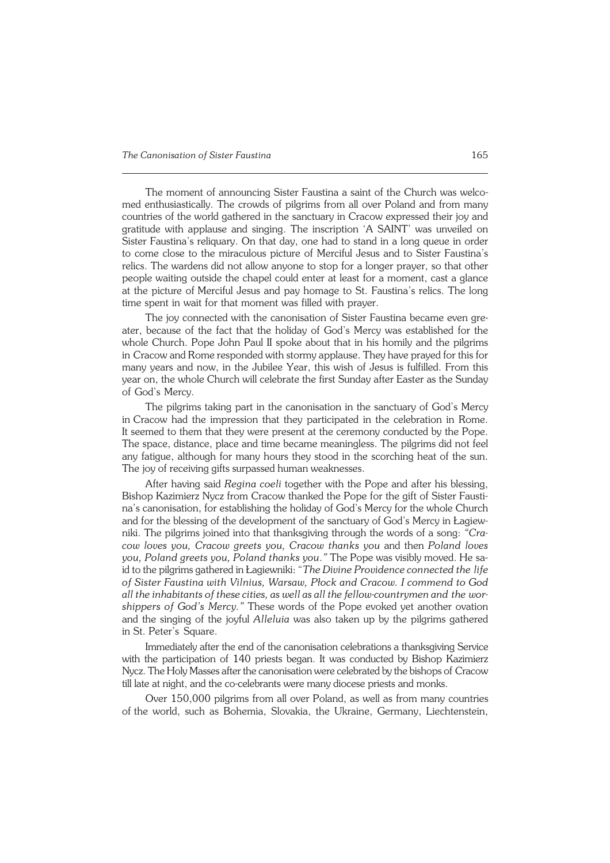The moment of announcing Sister Faustina a saint of the Church was welco− med enthusiastically. The crowds of pilgrims from all over Poland and from many countries of the world gathered in the sanctuary in Cracow expressed their joy and gratitude with applause and singing. The inscription 'A SAINT' was unveiled on Sister Faustina's reliquary. On that day, one had to stand in a long queue in order to come close to the miraculous picture of Merciful Jesus and to Sister Faustina's relics. The wardens did not allow anyone to stop for a longer prayer, so that other people waiting outside the chapel could enter at least for a moment, cast a glance at the picture of Merciful Jesus and pay homage to St. Faustina's relics. The long time spent in wait for that moment was filled with prayer.

The joy connected with the canonisation of Sister Faustina became even greater, because of the fact that the holiday of God's Mercy was established for the whole Church. Pope John Paul II spoke about that in his homily and the pilgrims inCracow and Rome responded with stormy applause. They have prayed for this for many years and now, in the Jubilee Year, this wish of Jesus is fulfilled. From this year on, the whole Church will celebrate the first Sunday after Easter as the Sunday of God's Mercy.

The pilgrims taking part in the canonisation in the sanctuary of God's Mercy inCracow had the impression that they participated in the celebration in Rome. It seemed to them that they were present at the ceremony conducted by the Pope. The space, distance, place and time became meaningless. The pilgrims did not feel any fatigue, although for many hours they stood in the scorching heat of the sun. The joy of receiving gifts surpassed human weaknesses.

After having said *Regina coeli* together with the Pope and after his blessing, Bishop Kazimierz Nycz from Cracow thanked the Pope for the gift of Sister Fausti− na's canonisation, for establishing the holiday of God's Mercy for the whole Church and for the blessing of the development of the sanctuary of God's Mercy in Łagiew− niki. The pilgrims joined into that thanksgiving through the words of a song: *"Cra− cow loves you, Cracow greets you, Cracow thanks you* and then *Poland loves* you, Poland greets you, Poland thanks you." The Pope was visibly moved. He said to the pilgrims gathered in Łagiewniki: "The Divine Providence connected the life *of Sister Faustina with Vilnius, Warsaw, Płock and Cracow. I commend to God all the inhabitants of these cities, as well as all the fellow−countrymen andthewor− shippers of God's Mercy."* These words of the Pope evoked yet another ovation and the singing of the joyful *Alleluia* was also taken up by the pilgrims gathered in St. Peter's Square.

Immediately after the end of the canonisation celebrations a thanksgiving Service with the participation of 140 priests began. It was conducted by Bishop Kazimierz Nycz. The Holy Masses after the canonisation were celebrated by the bishops of Cracow till late at night, and the co−celebrants were many diocese priests and monks.

Over 150,000 pilgrims from all over Poland, as well as from many countries of the world, such as Bohemia, Slovakia, the Ukraine, Germany, Liechtenstein,